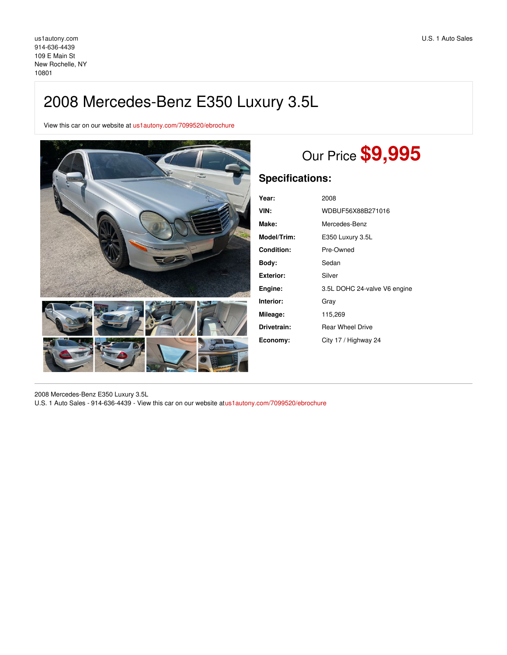# 2008 Mercedes-Benz E350 Luxury 3.5L

View this car on our website at [us1autony.com/7099520/ebrochure](https://us1autony.com/vehicle/7099520/2008-mercedes-benz-e350-luxury-3-5l-new-rochelle-ny-10801/7099520/ebrochure)



# Our Price **\$9,995**

## **Specifications:**

| Year:       | 2008                         |
|-------------|------------------------------|
| VIN:        | WDBUF56X88B271016            |
| Make:       | Mercedes-Benz                |
| Model/Trim: | E350 Luxury 3.5L             |
| Condition:  | Pre-Owned                    |
| Bodv:       | Sedan                        |
| Exterior:   | Silver                       |
| Engine:     | 3.5L DOHC 24-valve V6 engine |
| Interior:   | Grav                         |
| Mileage:    | 115,269                      |
| Drivetrain: | <b>Rear Wheel Drive</b>      |
| Economy:    | City 17 / Highway 24         |

2008 Mercedes-Benz E350 Luxury 3.5L U.S. 1 Auto Sales - 914-636-4439 - View this car on our website at[us1autony.com/7099520/ebrochure](https://us1autony.com/vehicle/7099520/2008-mercedes-benz-e350-luxury-3-5l-new-rochelle-ny-10801/7099520/ebrochure)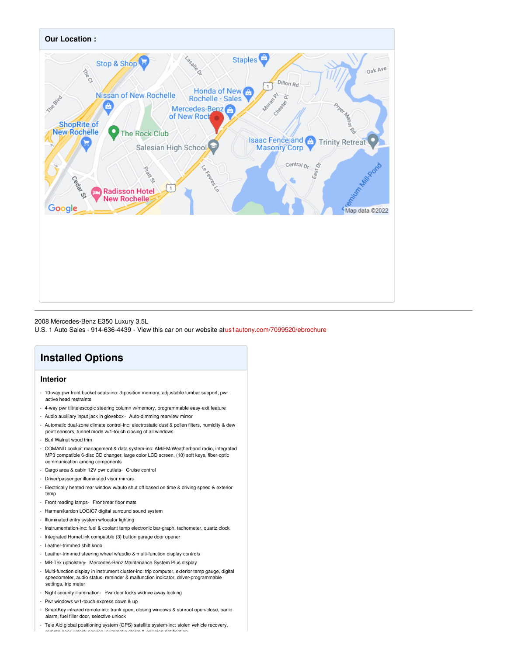

2008 Mercedes-Benz E350 Luxury 3.5L

U.S. 1 Auto Sales - 914-636-4439 - View this car on our website at[us1autony.com/7099520/ebrochure](https://us1autony.com/vehicle/7099520/2008-mercedes-benz-e350-luxury-3-5l-new-rochelle-ny-10801/7099520/ebrochure)

# **Installed Options**

## **Interior**

- 10-way pwr front bucket seats-inc: 3-position memory, adjustable lumbar support, pwr active head restraints
- 4-way pwr tilt/telescopic steering column w/memory, programmable easy-exit feature
- Audio auxiliary input jack in glovebox Auto-dimming rearview mirror
- Automatic dual-zone climate control-inc: electrostatic dust & pollen filters, humidity & dew point sensors, tunnel mode w/1-touch closing of all windows
- Burl Walnut wood trim
- COMAND cockpit management & data system-inc: AM/FM/Weatherband radio, integrated MP3 compatible 6-disc CD changer, large color LCD screen, (10) soft keys, fiber-optic communication among components
- Cargo area & cabin 12V pwr outlets- Cruise control
- Driver/passenger illuminated visor mirrors
- Electrically heated rear window w/auto shut off based on time & driving speed & exterior temp
- Front reading lamps- Front/rear floor mats
- Harman/kardon LOGIC7 digital surround sound system
- Illuminated entry system w/locator lighting
- Instrumentation-inc: fuel & coolant temp electronic bar-graph, tachometer, quartz clock
- Integrated HomeLink compatible (3) button garage door opener
- Leather-trimmed shift knob
- Leather-trimmed steering wheel w/audio & multi-function display controls
- MB-Tex upholstery- Mercedes-Benz Maintenance System Plus display
- Multi-function display in instrument cluster-inc: trip computer, exterior temp gauge, digital speedometer, audio status, reminder & malfunction indicator, driver-programmable settings, trip meter
- Night security illumination- Pwr door locks w/drive away locking
- Pwr windows w/1-touch express down & up
- SmartKey infrared remote-inc: trunk open, closing windows & sunroof open/close, panic alarm, fuel filler door, selective unlock
- Tele Aid global positioning system (GPS) satellite system-inc: stolen vehicle recovery, remote door unlock service, automatic alarm & collision notification